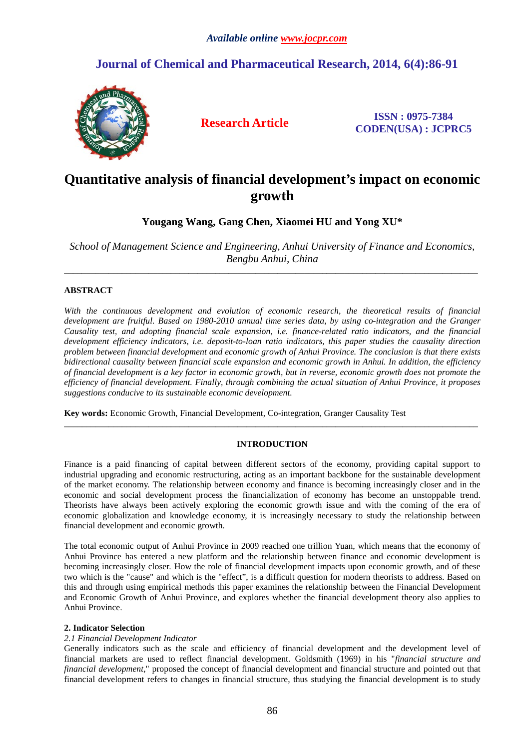# **Journal of Chemical and Pharmaceutical Research, 2014, 6(4):86-91**



**Research Article ISSN : 0975-7384 CODEN(USA) : JCPRC5**

# **Quantitative analysis of financial development's impact on economic growth**

**Yougang Wang, Gang Chen, Xiaomei HU and Yong XU\***

*School of Management Science and Engineering, Anhui University of Finance and Economics, Bengbu Anhui, China* \_\_\_\_\_\_\_\_\_\_\_\_\_\_\_\_\_\_\_\_\_\_\_\_\_\_\_\_\_\_\_\_\_\_\_\_\_\_\_\_\_\_\_\_\_\_\_\_\_\_\_\_\_\_\_\_\_\_\_\_\_\_\_\_\_\_\_\_\_\_\_\_\_\_\_\_\_\_\_\_\_\_\_\_\_\_\_\_\_\_\_\_\_

## **ABSTRACT**

*With the continuous development and evolution of economic research, the theoretical results of financial development are fruitful. Based on 1980-2010 annual time series data, by using co-integration and the Granger Causality test, and adopting financial scale expansion, i.e. finance-related ratio indicators, and the financial development efficiency indicators, i.e. deposit-to-loan ratio indicators, this paper studies the causality direction problem between financial development and economic growth of Anhui Province. The conclusion is that there exists bidirectional causality between financial scale expansion and economic growth in Anhui. In addition, the efficiency of financial development is a key factor in economic growth, but in reverse, economic growth does not promote the efficiency of financial development. Finally, through combining the actual situation of Anhui Province, it proposes suggestions conducive to its sustainable economic development.*

**Key words:** Economic Growth, Financial Development, Co-integration, Granger Causality Test

## **INTRODUCTION**

\_\_\_\_\_\_\_\_\_\_\_\_\_\_\_\_\_\_\_\_\_\_\_\_\_\_\_\_\_\_\_\_\_\_\_\_\_\_\_\_\_\_\_\_\_\_\_\_\_\_\_\_\_\_\_\_\_\_\_\_\_\_\_\_\_\_\_\_\_\_\_\_\_\_\_\_\_\_\_\_\_\_\_\_\_\_\_\_\_\_\_\_\_

Finance is a paid financing of capital between different sectors of the economy, providing capital support to industrial upgrading and economic restructuring, acting as an important backbone for the sustainable development of the market economy. The relationship between economy and finance is becoming increasingly closer and in the economic and social development process the financialization of economy has become an unstoppable trend. Theorists have always been actively exploring the economic growth issue and with the coming of the era of economic globalization and knowledge economy, it is increasingly necessary to study the relationship between financial development and economic growth.

The total economic output of Anhui Province in 2009 reached one trillion Yuan, which means that the economy of Anhui Province has entered a new platform and the relationship between finance and economic development is becoming increasingly closer. How the role of financial development impacts upon economic growth, and of these two which is the "cause" and which is the "effect", is a difficult question for modern theorists to address. Based on this and through using empirical methods this paper examines the relationship between the Financial Development and Economic Growth of Anhui Province, and explores whether the financial development theory also applies to Anhui Province.

## **2. Indicator Selection**

### *2.1 Financial Development Indicator*

Generally indicators such as the scale and efficiency of financial development and the development level of financial markets are used to reflect financial development. Goldsmith (1969) in his "*financial structure and financial development,*" proposed the concept of financial development and financial structure and pointed out that financial development refers to changes in financial structure, thus studying the financial development is to study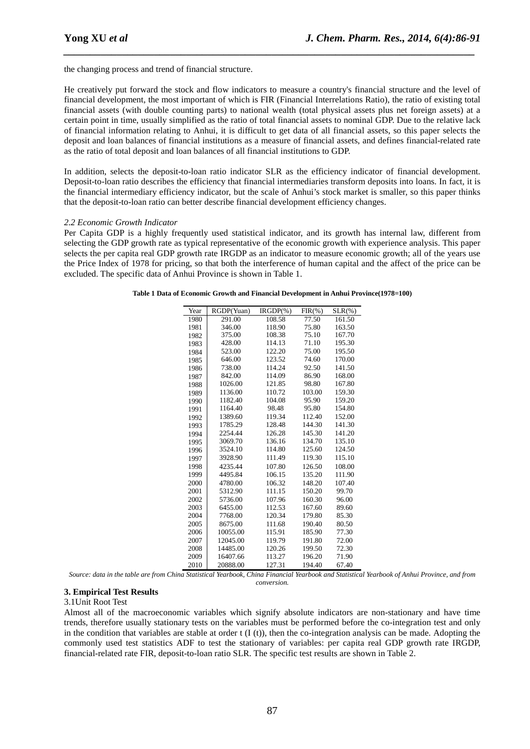the changing process and trend of financial structure.

He creatively put forward the stock and flow indicators to measure a country's financial structure and the level of financial development, the most important of which is FIR (Financial Interrelations Ratio), the ratio of existing total financial assets (with double counting parts) to national wealth (total physical assets plus net foreign assets) at a certain point in time, usually simplified as the ratio of total financial assets to nominal GDP. Due to the relative lack of financial information relating to Anhui, it is difficult to get data of all financial assets, so this paper selects the deposit and loan balances of financial institutions as a measure of financial assets, and defines financial-related rate as the ratio of total deposit and loan balances of all financial institutions to GDP.

*\_\_\_\_\_\_\_\_\_\_\_\_\_\_\_\_\_\_\_\_\_\_\_\_\_\_\_\_\_\_\_\_\_\_\_\_\_\_\_\_\_\_\_\_\_\_\_\_\_\_\_\_\_\_\_\_\_\_\_\_\_\_\_\_\_\_\_\_\_\_\_\_\_\_\_\_\_*

In addition, selects the deposit-to-loan ratio indicator SLR as the efficiency indicator of financial development. Deposit-to-loan ratio describes the efficiency that financial intermediaries transform deposits into loans. In fact, it is the financial intermediary efficiency indicator, but the scale of Anhui's stock market is smaller, so this paper thinks that the deposit-to-loan ratio can better describe financial development efficiency changes.

#### *2.2 Economic Growth Indicator*

Per Capita GDP is a highly frequently used statistical indicator, and its growth has internal law, different from selecting the GDP growth rate as typical representative of the economic growth with experience analysis. This paper selects the per capita real GDP growth rate IRGDP as an indicator to measure economic growth; all of the years use the Price Index of 1978 for pricing, so that both the interference of human capital and the affect of the price can be excluded. The specific data of Anhui Province is shown in Table 1.

| Year | RGDP(Yuan) | $IRGDP(\% )$ | $FIR(\%)$ | $SLR(\% )$ |
|------|------------|--------------|-----------|------------|
| 1980 | 291.00     | 108.58       | 77.50     | 161.50     |
| 1981 | 346.00     | 118.90       | 75.80     | 163.50     |
| 1982 | 375.00     | 108.38       | 75.10     | 167.70     |
| 1983 | 428.00     | 114.13       | 71.10     | 195.30     |
| 1984 | 523.00     | 122.20       | 75.00     | 195.50     |
| 1985 | 646.00     | 123.52       | 74.60     | 170.00     |
| 1986 | 738.00     | 114.24       | 92.50     | 141.50     |
| 1987 | 842.00     | 114.09       | 86.90     | 168.00     |
| 1988 | 1026.00    | 121.85       | 98.80     | 167.80     |
| 1989 | 1136.00    | 110.72       | 103.00    | 159.30     |
| 1990 | 1182.40    | 104.08       | 95.90     | 159.20     |
| 1991 | 1164.40    | 98.48        | 95.80     | 154.80     |
| 1992 | 1389.60    | 119.34       | 112.40    | 152.00     |
| 1993 | 1785.29    | 128.48       | 144.30    | 141.30     |
| 1994 | 2254.44    | 126.28       | 145.30    | 141.20     |
| 1995 | 3069.70    | 136.16       | 134.70    | 135.10     |
| 1996 | 3524.10    | 114.80       | 125.60    | 124.50     |
| 1997 | 3928.90    | 111.49       | 119.30    | 115.10     |
| 1998 | 4235.44    | 107.80       | 126.50    | 108.00     |
| 1999 | 4495.84    | 106.15       | 135.20    | 111.90     |
| 2000 | 4780.00    | 106.32       | 148.20    | 107.40     |
| 2001 | 5312.90    | 111.15       | 150.20    | 99.70      |
| 2002 | 5736.00    | 107.96       | 160.30    | 96.00      |
| 2003 | 6455.00    | 112.53       | 167.60    | 89.60      |
| 2004 | 7768.00    | 120.34       | 179.80    | 85.30      |
| 2005 | 8675.00    | 111.68       | 190.40    | 80.50      |
| 2006 | 10055.00   | 115.91       | 185.90    | 77.30      |
| 2007 | 12045.00   | 119.79       | 191.80    | 72.00      |
| 2008 | 14485.00   | 120.26       | 199.50    | 72.30      |
| 2009 | 16407.66   | 113.27       | 196.20    | 71.90      |
| 2010 | 20888.00   | 127.31       | 194.40    | 67.40      |

**Table 1 Data of Economic Growth and Financial Development in Anhui Province(1978=100)**

*Source: data in the table are from China Statistical Yearbook, China Financial Yearbook and Statistical Yearbook of Anhui Province, and from conversion.*

#### **3. Empirical Test Results**

#### 3.1Unit Root Test

Almost all of the macroeconomic variables which signify absolute indicators are non-stationary and have time trends, therefore usually stationary tests on the variables must be performed before the co-integration test and only in the condition that variables are stable at order t  $(I(t))$ , then the co-integration analysis can be made. Adopting the commonly used test statistics ADF to test the stationary of variables: per capita real GDP growth rate IRGDP, financial-related rate FIR, deposit-to-loan ratio SLR. The specific test results are shown in Table 2.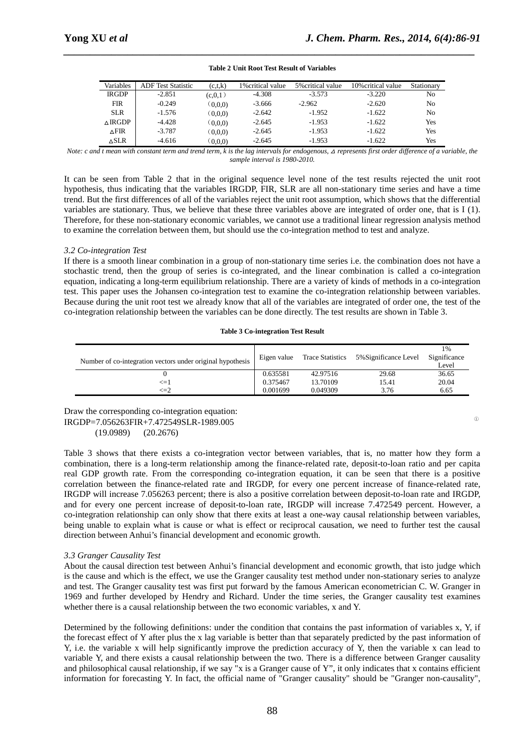| Variables         | <b>ADF</b> Test Statistic | (c,t,k)   | 1% critical value | 5% critical value | 10% critical value | Stationary |
|-------------------|---------------------------|-----------|-------------------|-------------------|--------------------|------------|
| <b>IRGDP</b>      | $-2.851$                  | (c, 0, 1) | $-4.308$          | $-3.573$          | $-3.220$           | No         |
| <b>FIR</b>        | $-0.249$                  | (0.0, 0)  | $-3.666$          | $-2.962$          | $-2.620$           | No         |
| <b>SLR</b>        | $-1.576$                  | (0.0, 0)  | $-2.642$          | $-1.952$          | $-1.622$           | No         |
| $\triangle$ IRGDP | $-4.428$                  | (0.0, 0)  | $-2.645$          | $-1.953$          | $-1.622$           | Yes        |
| $\triangle$ FIR   | $-3.787$                  | (0.0, 0)  | $-2.645$          | $-1.953$          | $-1.622$           | Yes        |
| ∆SLR              | $-4.616$                  | (0.0.0)   | $-2.645$          | $-1.953$          | $-1.622$           | Yes        |

#### **Table 2 Unit Root Test Result of Variables**

*\_\_\_\_\_\_\_\_\_\_\_\_\_\_\_\_\_\_\_\_\_\_\_\_\_\_\_\_\_\_\_\_\_\_\_\_\_\_\_\_\_\_\_\_\_\_\_\_\_\_\_\_\_\_\_\_\_\_\_\_\_\_\_\_\_\_\_\_\_\_\_\_\_\_\_\_\_*

*Note: c and t mean with constant term and trend term, k is the lag intervals for endogenous, ∆ represents first order difference of a variable, the sample interval is 1980-2010.*

It can be seen from Table 2 that in the original sequence level none of the test results rejected the unit root hypothesis, thus indicating that the variables IRGDP, FIR, SLR are all non-stationary time series and have a time trend. But the first differences of all of the variables reject the unit root assumption, which shows that the differential variables are stationary. Thus, we believe that these three variables above are integrated of order one, that is I (1). Therefore, for these non-stationary economic variables, we cannot use a traditional linear regression analysis method to examine the correlation between them, but should use the co-integration method to test and analyze.

### *3.2 Co-integration Test*

If there is a smooth linear combination in a group of non-stationary time series i.e. the combination does not have a stochastic trend, then the group of series is co-integrated, and the linear combination is called a co-integration equation, indicating a long-term equilibrium relationship. There are a variety of kinds of methods in a co-integration test. This paper uses the Johansen co-integration test to examine the co-integration relationship between variables. Because during the unit root test we already know that all of the variables are integrated of order one, the test of the co-integration relationship between the variables can be done directly. The test results are shown in Table 3.

#### **Table 3 Co-integration Test Result**

| Number of co-integration vectors under original hypothesis | Eigen value | <b>Trace Statistics</b> | 5% Significance Level | 1%<br>Significance<br>Level |
|------------------------------------------------------------|-------------|-------------------------|-----------------------|-----------------------------|
|                                                            | 0.635581    | 42.97516                | 29.68                 | 36.65                       |
| $\leq=$ $1$                                                | 0.375467    | 13.70109                | 15.41                 | 20.04                       |
| $\leq=2$                                                   | 0.001699    | 0.049309                | 3.76                  | 6.65                        |

Draw the corresponding co-integration equation:  $IRGDP = 7.056263FIR + 7.472549SLR - 1989.005$ (19.0989) (20.2676)

Table 3 shows that there exists a co-integration vector between variables, that is, no matter how they form a combination, there is a long-term relationship among the finance-related rate, deposit-to-loan ratio and per capita real GDP growth rate. From the corresponding co-integration equation, it can be seen that there is a positive correlation between the finance-related rate and IRGDP, for every one percent increase of finance-related rate, IRGDP will increase 7.056263 percent; there is also a positive correlation between deposit-to-loan rate and IRGDP, and for every one percent increase of deposit-to-loan rate, IRGDP will increase 7.472549 percent. However, a co-integration relationship can only show that there exits at least a one-way causal relationship between variables, being unable to explain what is cause or what is effect or reciprocal causation, we need to further test the causal direction between Anhui's financial development and economic growth.

#### *3.3 Granger Causality Test*

About the causal direction test between Anhui's financial development and economic growth, that isto judge which is the cause and which is the effect, we use the Granger causality test method under non-stationary series to analyze and test. The Granger causality test was first put forward by the famous American econometrician C. W. Granger in 1969 and further developed by Hendry and Richard. Under the time series, the Granger causality test examines whether there is a causal relationship between the two economic variables, x and Y.

Determined by the following definitions: under the condition that contains the past information of variables x, Y, if the forecast effect of Y after plus the x lag variable is better than that separately predicted by the past information of Y, i.e. the variable x will help significantly improve the prediction accuracy of Y, then the variable x can lead to variable Y, and there exists a causal relationship between the two. There is a difference between Granger causality and philosophical causal relationship, if we say "x is a Granger cause of Y", it only indicates that x contains efficient information for forecasting Y. In fact, the official name of "Granger causality" should be "Granger non-causality",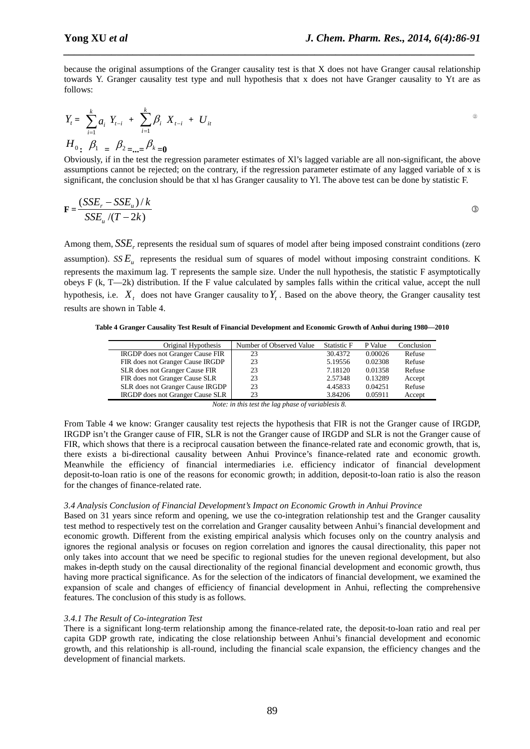because the original assumptions of the Granger causality test is that X does not have Granger causal relationship towards Y. Granger causality test type and null hypothesis that x does not have Granger causality to Yt are as follows:

*\_\_\_\_\_\_\_\_\_\_\_\_\_\_\_\_\_\_\_\_\_\_\_\_\_\_\_\_\_\_\_\_\_\_\_\_\_\_\_\_\_\_\_\_\_\_\_\_\_\_\_\_\_\_\_\_\_\_\_\_\_\_\_\_\_\_\_\_\_\_\_\_\_\_\_\_\_*

$$
Y_{t} = \sum_{i=1}^{k} a_{i} Y_{t-i} + \sum_{i=1}^{k} \beta_{i} X_{t-i} + U_{it}
$$
  

$$
H_{0} \cdot \beta_{1} = \beta_{2} = ... = \beta_{k} = 0
$$

Obviously, if in the test the regression parameter estimates of Xl's lagged variable are all non-significant, the above assumptions cannot be rejected; on the contrary, if the regression parameter estimate of any lagged variable of x is significant, the conclusion should be that xl has Granger causality to Yl. The above test can be done by statistic F.

$$
\mathbf{F} = \frac{(SSE_r - SSE_u)/k}{SSE_u/(T - 2k)}
$$

Among them, *SSE*, represents the residual sum of squares of model after being imposed constraint conditions (zero assumption).  $SSE_{u}$  represents the residual sum of squares of model without imposing constraint conditions. K represents the maximum lag. T represents the sample size. Under the null hypothesis, the statistic F asymptotically obeys F (k, T—2k) distribution. If the F value calculated by samples falls within the critical value, accept the null hypothesis, i.e.  $X_t$  does not have Granger causality to  $Y_t$ . Based on the above theory, the Granger causality test results are shown in Table 4.

**Table 4 Granger Causality Test Result of Financial Development and Economic Growth of Anhui during 1980—2010**

| Original Hypothesis              | Number of Observed Value | Statistic F | P Value | Conclusion |
|----------------------------------|--------------------------|-------------|---------|------------|
| IRGDP does not Granger Cause FIR | 23                       | 30.4372     | 0.00026 | Refuse     |
| FIR does not Granger Cause IRGDP | 23                       | 5.19556     | 0.02308 | Refuse     |
| SLR does not Granger Cause FIR   | 23                       | 7.18120     | 0.01358 | Refuse     |
| FIR does not Granger Cause SLR   | 23                       | 2.57348     | 0.13289 | Accept     |
| SLR does not Granger Cause IRGDP | 23                       | 4.45833     | 0.04251 | Refuse     |
| IRGDP does not Granger Cause SLR | 23                       | 3.84206     | 0.05911 | Accept     |

*Note: in this test the lag phase of variablesis 8.*

From Table 4 we know: Granger causality test rejects the hypothesis that FIR is not the Granger cause of IRGDP, IRGDP isn't the Granger cause of FIR, SLR is not the Granger cause of IRGDP and SLR is not the Granger cause of FIR, which shows that there is a reciprocal causation between the finance-related rate and economic growth, that is, there exists a bi-directional causality between Anhui Province's finance-related rate and economic growth. Meanwhile the efficiency of financial intermediaries i.e. efficiency indicator of financial development deposit-to-loan ratio is one of the reasons for economic growth; in addition, deposit-to-loan ratio is also the reason for the changes of finance-related rate.

#### *3.4 Analysis Conclusion of Financial Development's Impact on Economic Growth in Anhui Province*

Based on 31 years since reform and opening, we use the co-integration relationship test and the Granger causality test method to respectively test on the correlation and Granger causality between Anhui's financial development and economic growth. Different from the existing empirical analysis which focuses only on the country analysis and ignores the regional analysis or focuses on region correlation and ignores the causal directionality, this paper not only takes into account that we need be specific to regional studies for the uneven regional development, but also makes in-depth study on the causal directionality of the regional financial development and economic growth, thus having more practical significance. As for the selection of the indicators of financial development, we examined the expansion of scale and changes of efficiency of financial development in Anhui, reflecting the comprehensive features. The conclusion of this study is as follows.

#### *3.4.1 The Result of Co-integration Test*

There is a significant long-term relationship among the finance-related rate, the deposit-to-loan ratio and real per capita GDP growth rate, indicating the close relationship between Anhui's financial development and economic growth, and this relationship is all-round, including the financial scale expansion, the efficiency changes and the development of financial markets.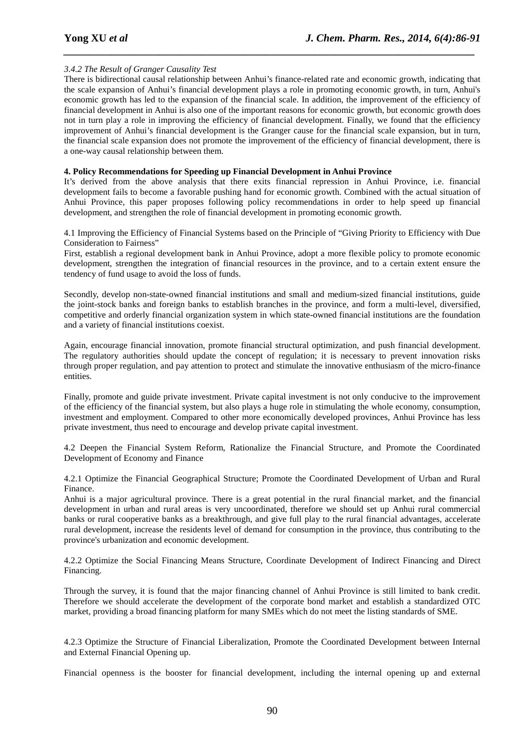## *3.4.2 The Result of Granger Causality Test*

There is bidirectional causal relationship between Anhui's finance-related rate and economic growth, indicating that the scale expansion of Anhui's financial development plays a role in promoting economic growth, in turn, Anhui's economic growth has led to the expansion of the financial scale. In addition, the improvement of the efficiency of financial development in Anhui is also one of the important reasons for economic growth, but economic growth does not in turn play a role in improving the efficiency of financial development. Finally, we found that the efficiency improvement of Anhui's financial development is the Granger cause for the financial scale expansion, but in turn, the financial scale expansion does not promote the improvement of the efficiency of financial development, there is a one-way causal relationship between them.

*\_\_\_\_\_\_\_\_\_\_\_\_\_\_\_\_\_\_\_\_\_\_\_\_\_\_\_\_\_\_\_\_\_\_\_\_\_\_\_\_\_\_\_\_\_\_\_\_\_\_\_\_\_\_\_\_\_\_\_\_\_\_\_\_\_\_\_\_\_\_\_\_\_\_\_\_\_*

#### **4. Policy Recommendations for Speeding up Financial Development in Anhui Province**

It's derived from the above analysis that there exits financial repression in Anhui Province, i.e. financial development fails to become a favorable pushing hand for economic growth. Combined with the actual situation of Anhui Province, this paper proposes following policy recommendations in order to help speed up financial development, and strengthen the role of financial development in promoting economic growth.

4.1 Improving the Efficiency of Financial Systems based on the Principle of "Giving Priority to Efficiency with Due Consideration to Fairness"

First, establish a regional development bank in Anhui Province, adopt a more flexible policy to promote economic development, strengthen the integration of financial resources in the province, and to a certain extent ensure the tendency of fund usage to avoid the loss of funds.

Secondly, develop non-state-owned financial institutions and small and medium-sized financial institutions, guide the joint-stock banks and foreign banks to establish branches in the province, and form a multi-level, diversified, competitive and orderly financial organization system in which state-owned financial institutions are the foundation and a variety of financial institutions coexist.

Again, encourage financial innovation, promote financial structural optimization, and push financial development. The regulatory authorities should update the concept of regulation; it is necessary to prevent innovation risks through proper regulation, and pay attention to protect and stimulate the innovative enthusiasm of the micro-finance entities.

Finally, promote and guide private investment. Private capital investment is not only conducive to the improvement of the efficiency of the financial system, but also plays a huge role in stimulating the whole economy, consumption, investment and employment. Compared to other more economically developed provinces, Anhui Province has less private investment, thus need to encourage and develop private capital investment.

4.2 Deepen the Financial System Reform, Rationalize the Financial Structure, and Promote the Coordinated Development of Economy and Finance

4.2.1 Optimize the Financial Geographical Structure; Promote the Coordinated Development of Urban and Rural Finance.

Anhui is a major agricultural province. There is a great potential in the rural financial market, and the financial development in urban and rural areas is very uncoordinated, therefore we should set up Anhui rural commercial banks or rural cooperative banks as a breakthrough, and give full play to the rural financial advantages, accelerate rural development, increase the residents level of demand for consumption in the province, thus contributing to the province's urbanization and economic development.

4.2.2 Optimize the Social Financing Means Structure, Coordinate Development of Indirect Financing and Direct Financing.

Through the survey, it is found that the major financing channel of Anhui Province is still limited to bank credit. Therefore we should accelerate the development of the corporate bond market and establish a standardized OTC market, providing a broad financing platform for many SMEs which do not meet the listing standards of SME.

4.2.3 Optimize the Structure of Financial Liberalization, Promote the Coordinated Development between Internal and External Financial Opening up.

Financial openness is the booster for financial development, including the internal opening up and external